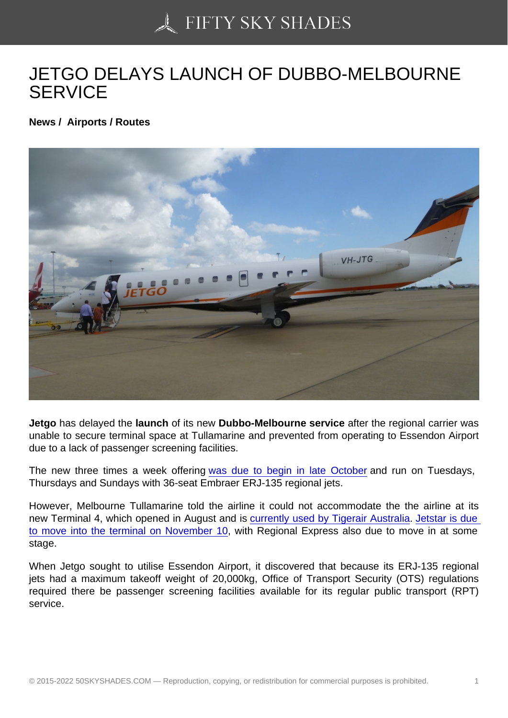## [JETGO DELAYS LAUN](https://50skyshades.com)CH OF DUBBO-MELBOURNE **SERVICE**

News / Airports / Routes

Jetgo has delayed the launch of its new Dubbo-Melbourne service after the regional carrier was unable to secure terminal space at Tullamarine and prevented from operating to Essendon Airport due to a lack of passenger screening facilities.

The new three times a week offering was due to begin in late October and run on Tuesdays, Thursdays and Sundays with 36-seat Embraer ERJ-135 regional jets.

However, Melbourne Tullamarine told [the airline it could not accommod](http://australianaviation.com.au/2015/09/jetgo-heading-to-melbourne/)ate the the airline at its new Terminal 4, which opened in August and is currently used by Tigerair Australia. Jetstar is due to move into the terminal on November 10, with Regional Express also due to move in at some stage.

When Jetgo sought to utilise Essendon Airport[, it discovered that because its ER](http://australianaviation.com.au/2015/08/tigerair-australia-leaves-tullamarine-tin-shed-for-new-home-at-terminal-4/)[J-135 regional](http://australianaviation.com.au/2015/09/jetstar-confirms-move-to-tullamarine-terminal-4-on-november-10/)  [jets had a maximum takeoff weight of 20,0](http://australianaviation.com.au/2015/09/jetstar-confirms-move-to-tullamarine-terminal-4-on-november-10/)00kg, Office of Transport Security (OTS) regulations required there be passenger screening facilities available for its regular public transport (RPT) service.